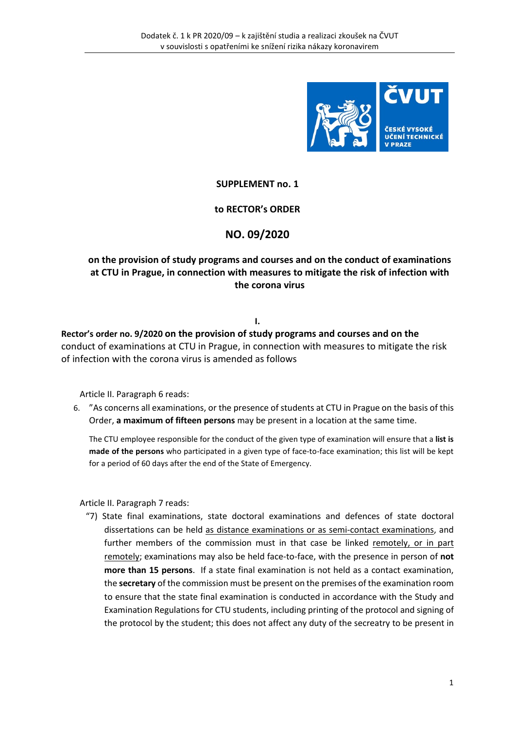

## **SUPPLEMENT no. 1**

#### **to RECTOR's ORDER**

## **NO. 09/2020**

# **on the provision of study programs and courses and on the conduct of examinations at CTU in Prague, in connection with measures to mitigate the risk of infection with the corona virus**

#### **I.**

**Rector's order no. 9/2020 on the provision of study programs and courses and on the** conduct of examinations at CTU in Prague, in connection with measures to mitigate the risk of infection with the corona virus is amended as follows

Article II. Paragraph 6 reads:

6. "As concerns all examinations, or the presence of students at CTU in Prague on the basis of this Order, **a maximum of fifteen persons** may be present in a location at the same time.

The CTU employee responsible for the conduct of the given type of examination will ensure that a **list is made of the persons** who participated in a given type of face-to-face examination; this list will be kept for a period of 60 days after the end of the State of Emergency.

Article II. Paragraph 7 reads:

"7) State final examinations, state doctoral examinations and defences of state doctoral dissertations can be held as distance examinations or as semi-contact examinations, and further members of the commission must in that case be linked remotely, or in part remotely; examinations may also be held face-to-face, with the presence in person of **not more than 15 persons**. If a state final examination is not held as a contact examination, the **secretary** of the commission must be present on the premises of the examination room to ensure that the state final examination is conducted in accordance with the Study and Examination Regulations for CTU students, including printing of the protocol and signing of the protocol by the student; this does not affect any duty of the secreatry to be present in